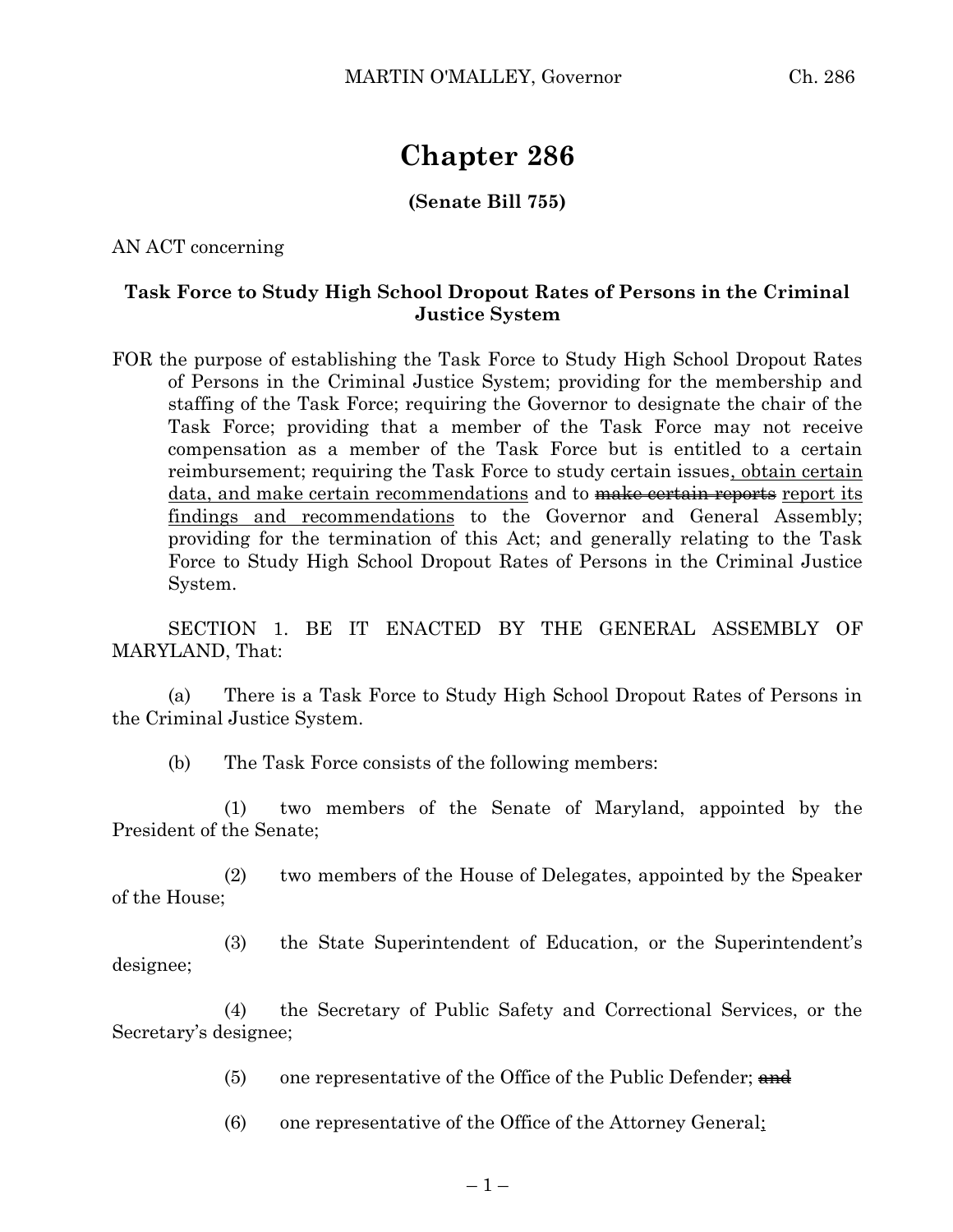## **Chapter 286**

## **(Senate Bill 755)**

AN ACT concerning

## **Task Force to Study High School Dropout Rates of Persons in the Criminal Justice System**

FOR the purpose of establishing the Task Force to Study High School Dropout Rates of Persons in the Criminal Justice System; providing for the membership and staffing of the Task Force; requiring the Governor to designate the chair of the Task Force; providing that a member of the Task Force may not receive compensation as a member of the Task Force but is entitled to a certain reimbursement; requiring the Task Force to study certain issues, obtain certain data, and make certain recommendations and to make certain reports report its findings and recommendations to the Governor and General Assembly; providing for the termination of this Act; and generally relating to the Task Force to Study High School Dropout Rates of Persons in the Criminal Justice System.

SECTION 1. BE IT ENACTED BY THE GENERAL ASSEMBLY OF MARYLAND, That:

(a) There is a Task Force to Study High School Dropout Rates of Persons in the Criminal Justice System.

(b) The Task Force consists of the following members:

(1) two members of the Senate of Maryland, appointed by the President of the Senate;

(2) two members of the House of Delegates, appointed by the Speaker of the House;

(3) the State Superintendent of Education, or the Superintendent's designee;

(4) the Secretary of Public Safety and Correctional Services, or the Secretary's designee;

(5) one representative of the Office of the Public Defender;  $\frac{and}{}$ 

(6) one representative of the Office of the Attorney General;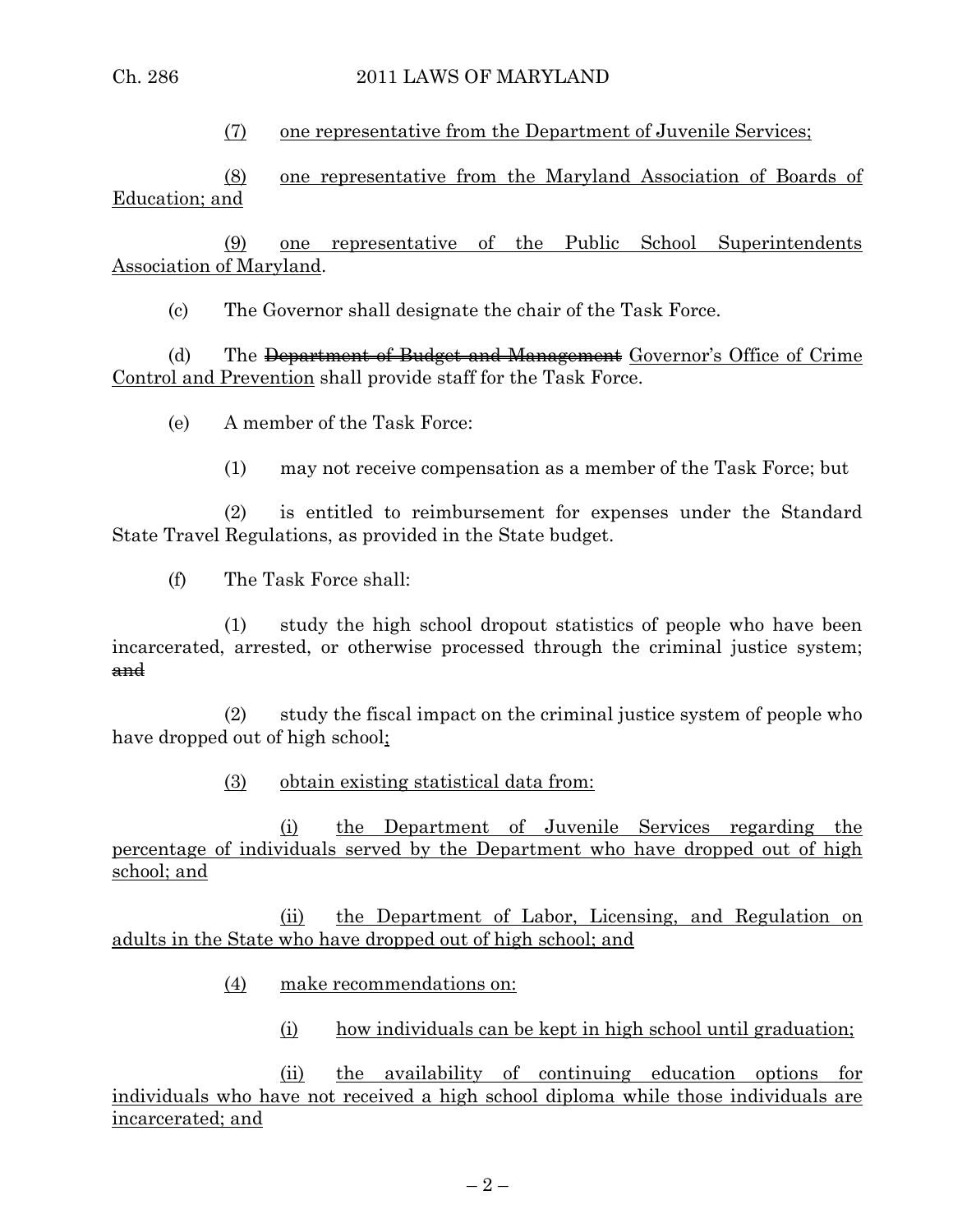(7) one representative from the Department of Juvenile Services;

(8) one representative from the Maryland Association of Boards of Education; and

(9) one representative of the Public School Superintendents Association of Maryland.

(c) The Governor shall designate the chair of the Task Force.

(d) The <del>Department of Budget and Management</del> Governor's Office of Crime Control and Prevention shall provide staff for the Task Force.

(e) A member of the Task Force:

(1) may not receive compensation as a member of the Task Force; but

(2) is entitled to reimbursement for expenses under the Standard State Travel Regulations, as provided in the State budget.

(f) The Task Force shall:

(1) study the high school dropout statistics of people who have been incarcerated, arrested, or otherwise processed through the criminal justice system; and

(2) study the fiscal impact on the criminal justice system of people who have dropped out of high school;

(3) obtain existing statistical data from:

(i) the Department of Juvenile Services regarding the percentage of individuals served by the Department who have dropped out of high school; and

(ii) the Department of Labor, Licensing, and Regulation on adults in the State who have dropped out of high school; and

- (4) make recommendations on:
	- (i) how individuals can be kept in high school until graduation;

(ii) the availability of continuing education options for individuals who have not received a high school diploma while those individuals are incarcerated; and